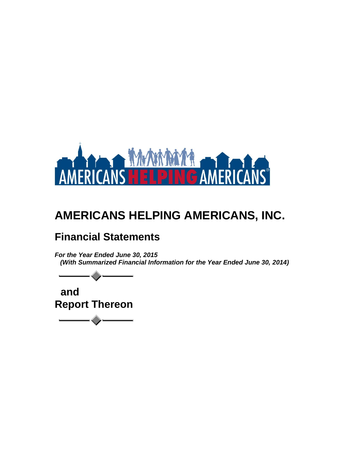

## **Financial Statements**

*For the Year Ended June 30, 2015 (With Summarized Financial Information for the Year Ended June 30, 2014)*

 **and Report Thereon**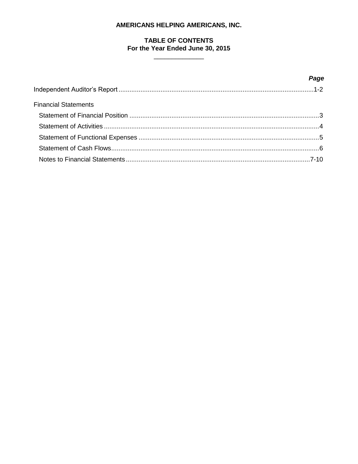## TABLE OF CONTENTS For the Year Ended June 30, 2015

|                             | Page |
|-----------------------------|------|
|                             |      |
| <b>Financial Statements</b> |      |
|                             |      |
|                             |      |
|                             |      |
|                             |      |
|                             |      |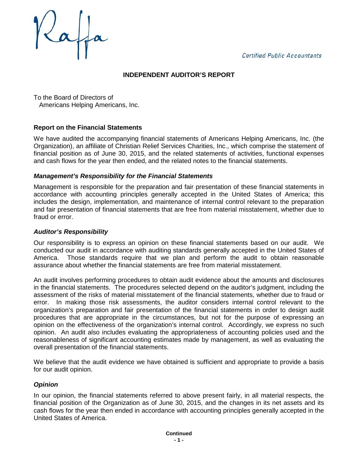**Certified Public Accountants** 



## **INDEPENDENT AUDITOR'S REPORT**

To the Board of Directors of Americans Helping Americans, Inc.

## **Report on the Financial Statements**

We have audited the accompanying financial statements of Americans Helping Americans, Inc. (the Organization), an affiliate of Christian Relief Services Charities, Inc., which comprise the statement of financial position as of June 30, 2015, and the related statements of activities, functional expenses and cash flows for the year then ended, and the related notes to the financial statements.

#### *Management's Responsibility for the Financial Statements*

Management is responsible for the preparation and fair presentation of these financial statements in accordance with accounting principles generally accepted in the United States of America; this includes the design, implementation, and maintenance of internal control relevant to the preparation and fair presentation of financial statements that are free from material misstatement, whether due to fraud or error.

#### *Auditor's Responsibility*

Our responsibility is to express an opinion on these financial statements based on our audit. We conducted our audit in accordance with auditing standards generally accepted in the United States of America. Those standards require that we plan and perform the audit to obtain reasonable assurance about whether the financial statements are free from material misstatement.

An audit involves performing procedures to obtain audit evidence about the amounts and disclosures in the financial statements. The procedures selected depend on the auditor's judgment, including the assessment of the risks of material misstatement of the financial statements, whether due to fraud or error. In making those risk assessments, the auditor considers internal control relevant to the organization's preparation and fair presentation of the financial statements in order to design audit procedures that are appropriate in the circumstances, but not for the purpose of expressing an opinion on the effectiveness of the organization's internal control. Accordingly, we express no such opinion. An audit also includes evaluating the appropriateness of accounting policies used and the reasonableness of significant accounting estimates made by management, as well as evaluating the overall presentation of the financial statements.

We believe that the audit evidence we have obtained is sufficient and appropriate to provide a basis for our audit opinion.

#### *Opinion*

In our opinion, the financial statements referred to above present fairly, in all material respects, the financial position of the Organization as of June 30, 2015, and the changes in its net assets and its cash flows for the year then ended in accordance with accounting principles generally accepted in the United States of America.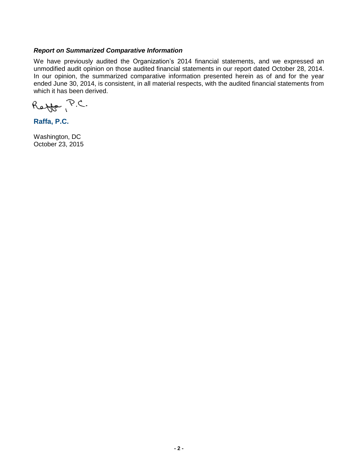#### *Report on Summarized Comparative Information*

We have previously audited the Organization's 2014 financial statements, and we expressed an unmodified audit opinion on those audited financial statements in our report dated October 28, 2014. In our opinion, the summarized comparative information presented herein as of and for the year ended June 30, 2014, is consistent, in all material respects, with the audited financial statements from which it has been derived.

Reffe P.C.

**Raffa, P.C.**

Washington, DC October 23, 2015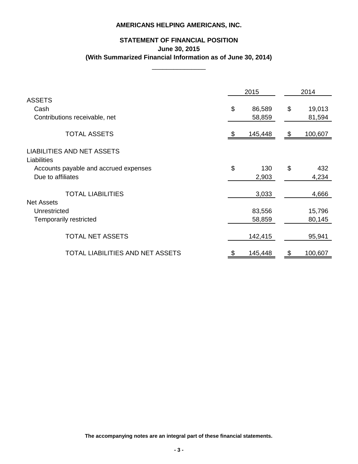## **STATEMENT OF FINANCIAL POSITION June 30, 2015 (With Summarized Financial Information as of June 30, 2014)**

\_\_\_\_\_\_\_\_\_\_\_\_\_\_\_

|                                                  |    | 2015    | 2014 |         |  |
|--------------------------------------------------|----|---------|------|---------|--|
| <b>ASSETS</b>                                    |    |         |      |         |  |
| Cash                                             | \$ | 86,589  | \$   | 19,013  |  |
| Contributions receivable, net                    |    | 58,859  |      | 81,594  |  |
| <b>TOTAL ASSETS</b>                              | S  | 145,448 | \$   | 100,607 |  |
| <b>LIABILITIES AND NET ASSETS</b><br>Liabilities |    |         |      |         |  |
| Accounts payable and accrued expenses            | \$ | 130     | \$   | 432     |  |
| Due to affiliates                                |    | 2,903   |      | 4,234   |  |
| <b>TOTAL LIABILITIES</b><br><b>Net Assets</b>    |    | 3,033   |      | 4,666   |  |
| Unrestricted                                     |    | 83,556  |      | 15,796  |  |
| <b>Temporarily restricted</b>                    |    | 58,859  |      | 80,145  |  |
| <b>TOTAL NET ASSETS</b>                          |    | 142,415 |      | 95,941  |  |
| TOTAL LIABILITIES AND NET ASSETS                 | \$ | 145,448 | \$   | 100,607 |  |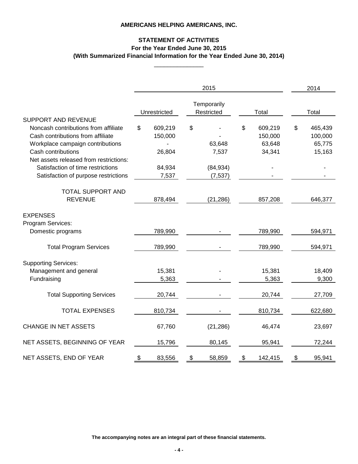#### **STATEMENT OF ACTIVITIES For the Year Ended June 30, 2015 (With Summarized Financial Information for the Year Ended June 30, 2014)**

\_\_\_\_\_\_\_\_\_\_\_\_\_\_\_

| 2015                                                                                                                                                                                                                                                                                     |    |                                                 |    |                                          |    |                                        |       | 2014                                   |  |  |
|------------------------------------------------------------------------------------------------------------------------------------------------------------------------------------------------------------------------------------------------------------------------------------------|----|-------------------------------------------------|----|------------------------------------------|----|----------------------------------------|-------|----------------------------------------|--|--|
|                                                                                                                                                                                                                                                                                          |    | Unrestricted                                    |    | Temporarily<br>Restricted                |    | Total                                  | Total |                                        |  |  |
| <b>SUPPORT AND REVENUE</b><br>Noncash contributions from affiliate<br>Cash contributions from affiliate<br>Workplace campaign contributions<br>Cash contributions<br>Net assets released from restrictions:<br>Satisfaction of time restrictions<br>Satisfaction of purpose restrictions | \$ | 609,219<br>150,000<br>26,804<br>84,934<br>7,537 | \$ | 63,648<br>7,537<br>(84, 934)<br>(7, 537) | \$ | 609,219<br>150,000<br>63,648<br>34,341 | \$    | 465,439<br>100,000<br>65,775<br>15,163 |  |  |
| <b>TOTAL SUPPORT AND</b><br><b>REVENUE</b>                                                                                                                                                                                                                                               |    | 878,494                                         |    | (21, 286)                                |    | 857,208                                |       | 646,377                                |  |  |
| <b>EXPENSES</b><br>Program Services:<br>Domestic programs                                                                                                                                                                                                                                |    | 789,990                                         |    |                                          |    | 789,990                                |       | 594,971                                |  |  |
| <b>Total Program Services</b>                                                                                                                                                                                                                                                            |    | 789,990                                         |    |                                          |    | 789,990                                |       | 594,971                                |  |  |
| <b>Supporting Services:</b><br>Management and general<br>Fundraising                                                                                                                                                                                                                     |    | 15,381<br>5,363                                 |    |                                          |    | 15,381<br>5,363                        |       | 18,409<br>9,300                        |  |  |
| <b>Total Supporting Services</b>                                                                                                                                                                                                                                                         |    | 20,744                                          |    |                                          |    | 20,744                                 |       | 27,709                                 |  |  |
| <b>TOTAL EXPENSES</b>                                                                                                                                                                                                                                                                    |    | 810,734                                         |    |                                          |    | 810,734                                |       | 622,680                                |  |  |
| <b>CHANGE IN NET ASSETS</b>                                                                                                                                                                                                                                                              |    | 67,760                                          |    | (21, 286)                                |    | 46,474                                 |       | 23,697                                 |  |  |
| NET ASSETS, BEGINNING OF YEAR                                                                                                                                                                                                                                                            |    | 15,796                                          |    | 80,145                                   |    | 95,941                                 |       | 72,244                                 |  |  |
| NET ASSETS, END OF YEAR                                                                                                                                                                                                                                                                  | \$ | 83,556                                          | \$ | 58,859                                   | \$ | 142,415                                | \$    | 95,941                                 |  |  |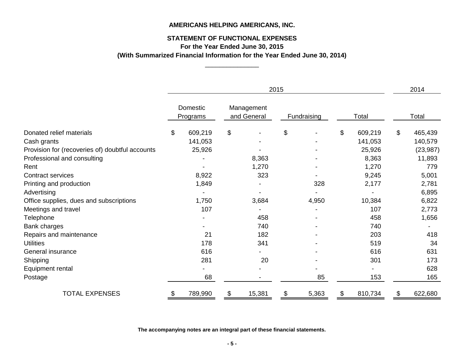## **STATEMENT OF FUNCTIONAL EXPENSES**

**For the Year Ended June 30, 2015**

\_\_\_\_\_\_\_\_\_\_\_\_\_\_\_ **(With Summarized Financial Information for the Year Ended June 30, 2014)**

|                                                 | 2015                 |         |                           |        |             |       |       |         |       | 2014      |  |
|-------------------------------------------------|----------------------|---------|---------------------------|--------|-------------|-------|-------|---------|-------|-----------|--|
|                                                 | Domestic<br>Programs |         | Management<br>and General |        | Fundraising |       | Total |         | Total |           |  |
| Donated relief materials                        | \$                   | 609,219 | \$                        |        | \$          |       | \$    | 609,219 | \$    | 465,439   |  |
| Cash grants                                     |                      | 141,053 |                           |        |             |       |       | 141,053 |       | 140,579   |  |
| Provision for (recoveries of) doubtful accounts |                      | 25,926  |                           |        |             |       |       | 25,926  |       | (23, 987) |  |
| Professional and consulting                     |                      |         |                           | 8,363  |             |       |       | 8,363   |       | 11,893    |  |
| Rent                                            |                      |         |                           | 1,270  |             |       |       | 1,270   |       | 779       |  |
| Contract services                               |                      | 8,922   |                           | 323    |             |       |       | 9,245   |       | 5,001     |  |
| Printing and production                         |                      | 1,849   |                           |        |             | 328   |       | 2,177   |       | 2,781     |  |
| Advertising                                     |                      |         |                           |        |             |       |       |         |       | 6,895     |  |
| Office supplies, dues and subscriptions         |                      | 1,750   |                           | 3,684  |             | 4,950 |       | 10,384  |       | 6,822     |  |
| Meetings and travel                             |                      | 107     |                           |        |             |       |       | 107     |       | 2,773     |  |
| Telephone                                       |                      |         |                           | 458    |             |       |       | 458     |       | 1,656     |  |
| Bank charges                                    |                      |         |                           | 740    |             |       |       | 740     |       |           |  |
| Repairs and maintenance                         |                      | 21      |                           | 182    |             |       |       | 203     |       | 418       |  |
| <b>Utilities</b>                                |                      | 178     |                           | 341    |             |       |       | 519     |       | 34        |  |
| General insurance                               |                      | 616     |                           |        |             |       |       | 616     |       | 631       |  |
| Shipping                                        |                      | 281     |                           | 20     |             |       |       | 301     |       | 173       |  |
| Equipment rental                                |                      |         |                           |        |             |       |       |         |       | 628       |  |
| Postage                                         |                      | 68      |                           |        |             | 85    |       | 153     |       | 165       |  |
| <b>TOTAL EXPENSES</b>                           | \$                   | 789,990 | \$                        | 15,381 | \$          | 5,363 | \$    | 810,734 | \$    | 622,680   |  |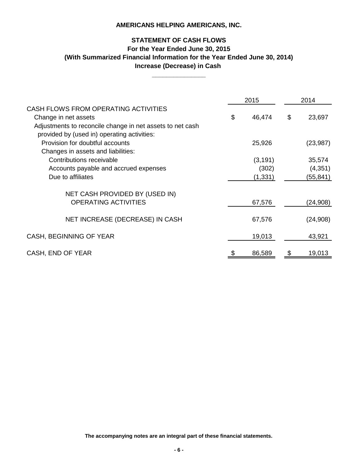## **STATEMENT OF CASH FLOWS For the Year Ended June 30, 2015 Increase (Decrease) in Cash (With Summarized Financial Information for the Year Ended June 30, 2014)**

**\_\_\_\_\_\_\_\_\_\_\_\_\_\_\_**

|                                                                                                          | 2015         | 2014         |  |  |
|----------------------------------------------------------------------------------------------------------|--------------|--------------|--|--|
| CASH FLOWS FROM OPERATING ACTIVITIES                                                                     |              |              |  |  |
| Change in net assets                                                                                     | \$<br>46,474 | \$<br>23,697 |  |  |
| Adjustments to reconcile change in net assets to net cash<br>provided by (used in) operating activities: |              |              |  |  |
| Provision for doubtful accounts                                                                          | 25,926       | (23, 987)    |  |  |
| Changes in assets and liabilities:                                                                       |              |              |  |  |
| Contributions receivable                                                                                 | (3, 191)     | 35,574       |  |  |
| Accounts payable and accrued expenses                                                                    | (302)        | (4, 351)     |  |  |
| Due to affiliates                                                                                        | (1, 331)     | (55,841)     |  |  |
| NET CASH PROVIDED BY (USED IN)                                                                           |              |              |  |  |
| <b>OPERATING ACTIVITIES</b>                                                                              | 67,576       | (24, 908)    |  |  |
|                                                                                                          |              |              |  |  |
| NET INCREASE (DECREASE) IN CASH                                                                          | 67,576       | (24, 908)    |  |  |
| CASH, BEGINNING OF YEAR                                                                                  | 19,013       | 43,921       |  |  |
|                                                                                                          |              |              |  |  |
| CASH, END OF YEAR                                                                                        | 86,589       | 19,013       |  |  |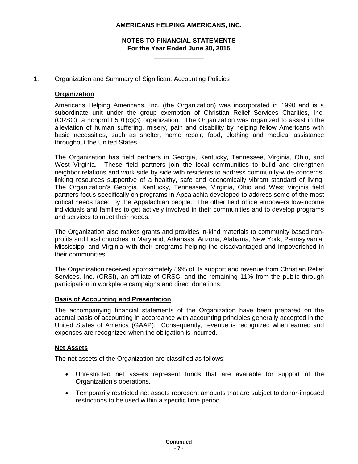#### **NOTES TO FINANCIAL STATEMENTS For the Year Ended June 30, 2015**

 $\overline{\phantom{a}}$  , where  $\overline{\phantom{a}}$ 

#### 1. Organization and Summary of Significant Accounting Policies

#### **Organization**

Americans Helping Americans, Inc. (the Organization) was incorporated in 1990 and is a subordinate unit under the group exemption of Christian Relief Services Charities, Inc. (CRSC), a nonprofit 501(c)(3) organization. The Organization was organized to assist in the alleviation of human suffering, misery, pain and disability by helping fellow Americans with basic necessities, such as shelter, home repair, food, clothing and medical assistance throughout the United States.

The Organization has field partners in Georgia, Kentucky, Tennessee, Virginia, Ohio, and West Virginia. These field partners join the local communities to build and strengthen neighbor relations and work side by side with residents to address community-wide concerns, linking resources supportive of a healthy, safe and economically vibrant standard of living. The Organization's Georgia, Kentucky, Tennessee, Virginia, Ohio and West Virginia field partners focus specifically on programs in Appalachia developed to address some of the most critical needs faced by the Appalachian people. The other field office empowers low-income individuals and families to get actively involved in their communities and to develop programs and services to meet their needs.

The Organization also makes grants and provides in-kind materials to community based nonprofits and local churches in Maryland, Arkansas, Arizona, Alabama, New York, Pennsylvania, Mississippi and Virginia with their programs helping the disadvantaged and impoverished in their communities.

The Organization received approximately 89% of its support and revenue from Christian Relief Services, Inc. (CRSI), an affiliate of CRSC, and the remaining 11% from the public through participation in workplace campaigns and direct donations.

#### **Basis of Accounting and Presentation**

The accompanying financial statements of the Organization have been prepared on the accrual basis of accounting in accordance with accounting principles generally accepted in the United States of America (GAAP). Consequently, revenue is recognized when earned and expenses are recognized when the obligation is incurred.

#### **Net Assets**

The net assets of the Organization are classified as follows:

- Unrestricted net assets represent funds that are available for support of the Organization's operations.
- Temporarily restricted net assets represent amounts that are subject to donor-imposed restrictions to be used within a specific time period.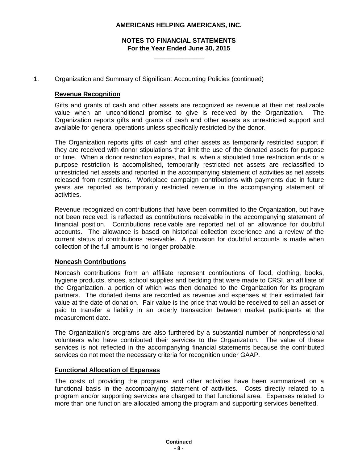#### **NOTES TO FINANCIAL STATEMENTS For the Year Ended June 30, 2015**

 $\overline{\phantom{a}}$  , where  $\overline{\phantom{a}}$ 

#### 1. Organization and Summary of Significant Accounting Policies (continued)

#### **Revenue Recognition**

Gifts and grants of cash and other assets are recognized as revenue at their net realizable value when an unconditional promise to give is received by the Organization. The Organization reports gifts and grants of cash and other assets as unrestricted support and available for general operations unless specifically restricted by the donor.

The Organization reports gifts of cash and other assets as temporarily restricted support if they are received with donor stipulations that limit the use of the donated assets for purpose or time. When a donor restriction expires, that is, when a stipulated time restriction ends or a purpose restriction is accomplished, temporarily restricted net assets are reclassified to unrestricted net assets and reported in the accompanying statement of activities as net assets released from restrictions. Workplace campaign contributions with payments due in future years are reported as temporarily restricted revenue in the accompanying statement of activities.

Revenue recognized on contributions that have been committed to the Organization, but have not been received, is reflected as contributions receivable in the accompanying statement of financial position. Contributions receivable are reported net of an allowance for doubtful accounts. The allowance is based on historical collection experience and a review of the current status of contributions receivable. A provision for doubtful accounts is made when collection of the full amount is no longer probable.

#### **Noncash Contributions**

Noncash contributions from an affiliate represent contributions of food, clothing, books, hygiene products, shoes, school supplies and bedding that were made to CRSI, an affiliate of the Organization, a portion of which was then donated to the Organization for its program partners. The donated items are recorded as revenue and expenses at their estimated fair value at the date of donation. Fair value is the price that would be received to sell an asset or paid to transfer a liability in an orderly transaction between market participants at the measurement date.

The Organization's programs are also furthered by a substantial number of nonprofessional volunteers who have contributed their services to the Organization. The value of these services is not reflected in the accompanying financial statements because the contributed services do not meet the necessary criteria for recognition under GAAP.

#### **Functional Allocation of Expenses**

The costs of providing the programs and other activities have been summarized on a functional basis in the accompanying statement of activities. Costs directly related to a program and/or supporting services are charged to that functional area. Expenses related to more than one function are allocated among the program and supporting services benefited.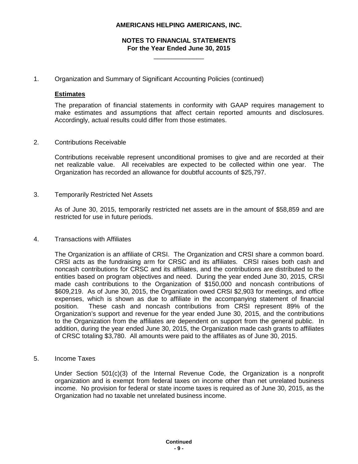#### **NOTES TO FINANCIAL STATEMENTS For the Year Ended June 30, 2015**

 $\overline{\phantom{a}}$  , where  $\overline{\phantom{a}}$ 

1. Organization and Summary of Significant Accounting Policies (continued)

#### **Estimates**

The preparation of financial statements in conformity with GAAP requires management to make estimates and assumptions that affect certain reported amounts and disclosures. Accordingly, actual results could differ from those estimates.

2. Contributions Receivable

Contributions receivable represent unconditional promises to give and are recorded at their net realizable value. All receivables are expected to be collected within one year. The Organization has recorded an allowance for doubtful accounts of \$25,797.

3. Temporarily Restricted Net Assets

As of June 30, 2015, temporarily restricted net assets are in the amount of \$58,859 and are restricted for use in future periods.

4. Transactions with Affiliates

The Organization is an affiliate of CRSI. The Organization and CRSI share a common board. CRSI acts as the fundraising arm for CRSC and its affiliates. CRSI raises both cash and noncash contributions for CRSC and its affiliates, and the contributions are distributed to the entities based on program objectives and need. During the year ended June 30, 2015, CRSI made cash contributions to the Organization of \$150,000 and noncash contributions of \$609,219. As of June 30, 2015, the Organization owed CRSI \$2,903 for meetings, and office expenses, which is shown as due to affiliate in the accompanying statement of financial position. These cash and noncash contributions from CRSI represent 89% of the Organization's support and revenue for the year ended June 30, 2015, and the contributions to the Organization from the affiliates are dependent on support from the general public. In addition, during the year ended June 30, 2015, the Organization made cash grants to affiliates of CRSC totaling \$3,780. All amounts were paid to the affiliates as of June 30, 2015.

5. Income Taxes

Under Section 501(c)(3) of the Internal Revenue Code, the Organization is a nonprofit organization and is exempt from federal taxes on income other than net unrelated business income. No provision for federal or state income taxes is required as of June 30, 2015, as the Organization had no taxable net unrelated business income.